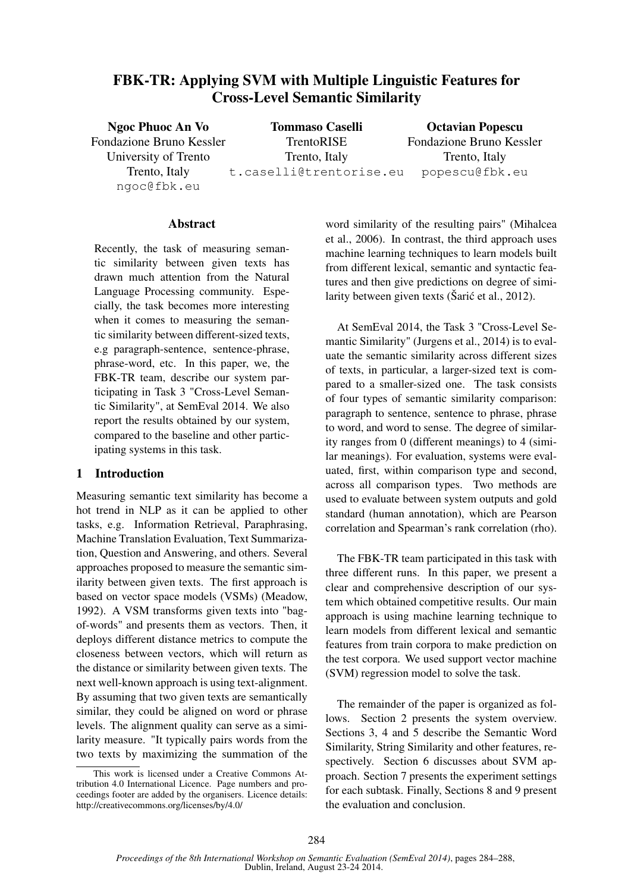# FBK-TR: Applying SVM with Multiple Linguistic Features for Cross-Level Semantic Similarity

Ngoc Phuoc An Vo Fondazione Bruno Kessler University of Trento Trento, Italy ngoc@fbk.eu Tommaso Caselli TrentoRISE Trento, Italy t.caselli@trentorise.eu Octavian Popescu Fondazione Bruno Kessler Trento, Italy popescu@fbk.eu

### **Abstract**

Recently, the task of measuring semantic similarity between given texts has drawn much attention from the Natural Language Processing community. Especially, the task becomes more interesting when it comes to measuring the semantic similarity between different-sized texts, e.g paragraph-sentence, sentence-phrase, phrase-word, etc. In this paper, we, the FBK-TR team, describe our system participating in Task 3 "Cross-Level Semantic Similarity", at SemEval 2014. We also report the results obtained by our system, compared to the baseline and other participating systems in this task.

### 1 Introduction

Measuring semantic text similarity has become a hot trend in NLP as it can be applied to other tasks, e.g. Information Retrieval, Paraphrasing, Machine Translation Evaluation, Text Summarization, Question and Answering, and others. Several approaches proposed to measure the semantic similarity between given texts. The first approach is based on vector space models (VSMs) (Meadow, 1992). A VSM transforms given texts into "bagof-words" and presents them as vectors. Then, it deploys different distance metrics to compute the closeness between vectors, which will return as the distance or similarity between given texts. The next well-known approach is using text-alignment. By assuming that two given texts are semantically similar, they could be aligned on word or phrase levels. The alignment quality can serve as a similarity measure. "It typically pairs words from the two texts by maximizing the summation of the

This work is licensed under a Creative Commons Attribution 4.0 International Licence. Page numbers and proceedings footer are added by the organisers. Licence details: http://creativecommons.org/licenses/by/4.0/

word similarity of the resulting pairs" (Mihalcea et al., 2006). In contrast, the third approach uses machine learning techniques to learn models built from different lexical, semantic and syntactic features and then give predictions on degree of similarity between given texts ( $\check{S}$ ari $\acute{\epsilon}$  et al., 2012).

At SemEval 2014, the Task 3 "Cross-Level Semantic Similarity" (Jurgens et al., 2014) is to evaluate the semantic similarity across different sizes of texts, in particular, a larger-sized text is compared to a smaller-sized one. The task consists of four types of semantic similarity comparison: paragraph to sentence, sentence to phrase, phrase to word, and word to sense. The degree of similarity ranges from 0 (different meanings) to 4 (similar meanings). For evaluation, systems were evaluated, first, within comparison type and second, across all comparison types. Two methods are used to evaluate between system outputs and gold standard (human annotation), which are Pearson correlation and Spearman's rank correlation (rho).

The FBK-TR team participated in this task with three different runs. In this paper, we present a clear and comprehensive description of our system which obtained competitive results. Our main approach is using machine learning technique to learn models from different lexical and semantic features from train corpora to make prediction on the test corpora. We used support vector machine (SVM) regression model to solve the task.

The remainder of the paper is organized as follows. Section 2 presents the system overview. Sections 3, 4 and 5 describe the Semantic Word Similarity, String Similarity and other features, respectively. Section 6 discusses about SVM approach. Section 7 presents the experiment settings for each subtask. Finally, Sections 8 and 9 present the evaluation and conclusion.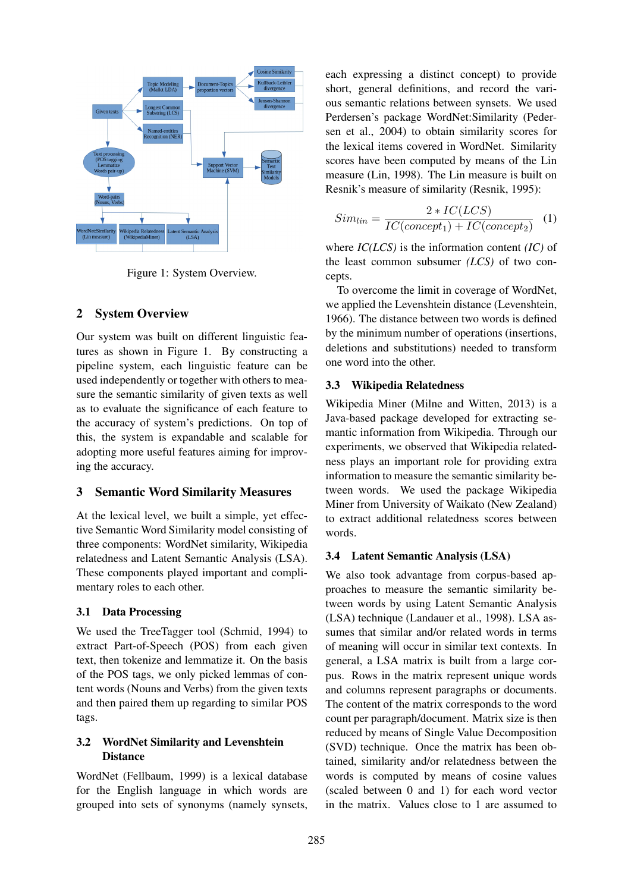

Figure 1: System Overview.

### 2 System Overview

Our system was built on different linguistic features as shown in Figure 1. By constructing a pipeline system, each linguistic feature can be used independently or together with others to measure the semantic similarity of given texts as well as to evaluate the significance of each feature to the accuracy of system's predictions. On top of this, the system is expandable and scalable for adopting more useful features aiming for improving the accuracy.

### 3 Semantic Word Similarity Measures

At the lexical level, we built a simple, yet effective Semantic Word Similarity model consisting of three components: WordNet similarity, Wikipedia relatedness and Latent Semantic Analysis (LSA). These components played important and complimentary roles to each other.

#### 3.1 Data Processing

We used the TreeTagger tool (Schmid, 1994) to extract Part-of-Speech (POS) from each given text, then tokenize and lemmatize it. On the basis of the POS tags, we only picked lemmas of content words (Nouns and Verbs) from the given texts and then paired them up regarding to similar POS tags.

### 3.2 WordNet Similarity and Levenshtein **Distance**

WordNet (Fellbaum, 1999) is a lexical database for the English language in which words are grouped into sets of synonyms (namely synsets,

each expressing a distinct concept) to provide short, general definitions, and record the various semantic relations between synsets. We used Perdersen's package WordNet:Similarity (Pedersen et al., 2004) to obtain similarity scores for the lexical items covered in WordNet. Similarity scores have been computed by means of the Lin measure (Lin, 1998). The Lin measure is built on Resnik's measure of similarity (Resnik, 1995):

$$
Sim_{lin} = \frac{2 * IC(LCS)}{IC(concept_1) + IC(concept_2)}
$$
 (1)

where *IC(LCS)* is the information content *(IC)* of the least common subsumer *(LCS)* of two concepts.

To overcome the limit in coverage of WordNet, we applied the Levenshtein distance (Levenshtein, 1966). The distance between two words is defined by the minimum number of operations (insertions, deletions and substitutions) needed to transform one word into the other.

#### 3.3 Wikipedia Relatedness

Wikipedia Miner (Milne and Witten, 2013) is a Java-based package developed for extracting semantic information from Wikipedia. Through our experiments, we observed that Wikipedia relatedness plays an important role for providing extra information to measure the semantic similarity between words. We used the package Wikipedia Miner from University of Waikato (New Zealand) to extract additional relatedness scores between words.

#### 3.4 Latent Semantic Analysis (LSA)

We also took advantage from corpus-based approaches to measure the semantic similarity between words by using Latent Semantic Analysis (LSA) technique (Landauer et al., 1998). LSA assumes that similar and/or related words in terms of meaning will occur in similar text contexts. In general, a LSA matrix is built from a large corpus. Rows in the matrix represent unique words and columns represent paragraphs or documents. The content of the matrix corresponds to the word count per paragraph/document. Matrix size is then reduced by means of Single Value Decomposition (SVD) technique. Once the matrix has been obtained, similarity and/or relatedness between the words is computed by means of cosine values (scaled between 0 and 1) for each word vector in the matrix. Values close to 1 are assumed to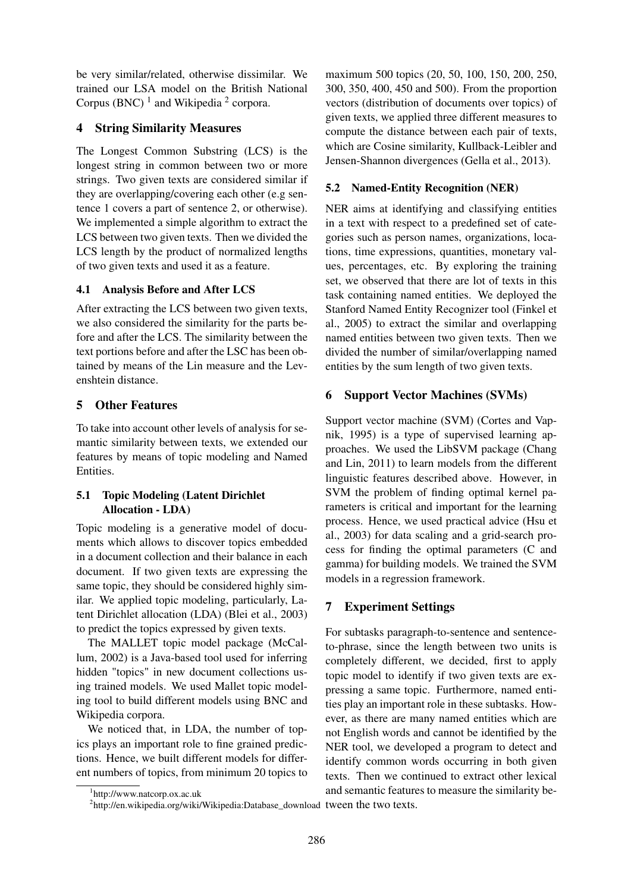be very similar/related, otherwise dissimilar. We trained our LSA model on the British National Corpus (BNC)  $<sup>1</sup>$  and Wikipedia  $<sup>2</sup>$  corpora.</sup></sup>

## 4 String Similarity Measures

The Longest Common Substring (LCS) is the longest string in common between two or more strings. Two given texts are considered similar if they are overlapping/covering each other (e.g sentence 1 covers a part of sentence 2, or otherwise). We implemented a simple algorithm to extract the LCS between two given texts. Then we divided the LCS length by the product of normalized lengths of two given texts and used it as a feature.

### 4.1 Analysis Before and After LCS

After extracting the LCS between two given texts, we also considered the similarity for the parts before and after the LCS. The similarity between the text portions before and after the LSC has been obtained by means of the Lin measure and the Levenshtein distance.

## 5 Other Features

To take into account other levels of analysis for semantic similarity between texts, we extended our features by means of topic modeling and Named Entities.

### 5.1 Topic Modeling (Latent Dirichlet Allocation - LDA)

Topic modeling is a generative model of documents which allows to discover topics embedded in a document collection and their balance in each document. If two given texts are expressing the same topic, they should be considered highly similar. We applied topic modeling, particularly, Latent Dirichlet allocation (LDA) (Blei et al., 2003) to predict the topics expressed by given texts.

The MALLET topic model package (McCallum, 2002) is a Java-based tool used for inferring hidden "topics" in new document collections using trained models. We used Mallet topic modeling tool to build different models using BNC and Wikipedia corpora.

We noticed that, in LDA, the number of topics plays an important role to fine grained predictions. Hence, we built different models for different numbers of topics, from minimum 20 topics to

maximum 500 topics (20, 50, 100, 150, 200, 250, 300, 350, 400, 450 and 500). From the proportion vectors (distribution of documents over topics) of given texts, we applied three different measures to compute the distance between each pair of texts, which are Cosine similarity, Kullback-Leibler and Jensen-Shannon divergences (Gella et al., 2013).

## 5.2 Named-Entity Recognition (NER)

NER aims at identifying and classifying entities in a text with respect to a predefined set of categories such as person names, organizations, locations, time expressions, quantities, monetary values, percentages, etc. By exploring the training set, we observed that there are lot of texts in this task containing named entities. We deployed the Stanford Named Entity Recognizer tool (Finkel et al., 2005) to extract the similar and overlapping named entities between two given texts. Then we divided the number of similar/overlapping named entities by the sum length of two given texts.

## 6 Support Vector Machines (SVMs)

Support vector machine (SVM) (Cortes and Vapnik, 1995) is a type of supervised learning approaches. We used the LibSVM package (Chang and Lin, 2011) to learn models from the different linguistic features described above. However, in SVM the problem of finding optimal kernel parameters is critical and important for the learning process. Hence, we used practical advice (Hsu et al., 2003) for data scaling and a grid-search process for finding the optimal parameters (C and gamma) for building models. We trained the SVM models in a regression framework.

## 7 Experiment Settings

For subtasks paragraph-to-sentence and sentenceto-phrase, since the length between two units is completely different, we decided, first to apply topic model to identify if two given texts are expressing a same topic. Furthermore, named entities play an important role in these subtasks. However, as there are many named entities which are not English words and cannot be identified by the NER tool, we developed a program to detect and identify common words occurring in both given texts. Then we continued to extract other lexical and semantic features to measure the similarity be-

<sup>1</sup> http://www.natcorp.ox.ac.uk

 $^{2}$ http://en.wikipedia.org/wiki/Wikipedia:Database\_download tween the two texts.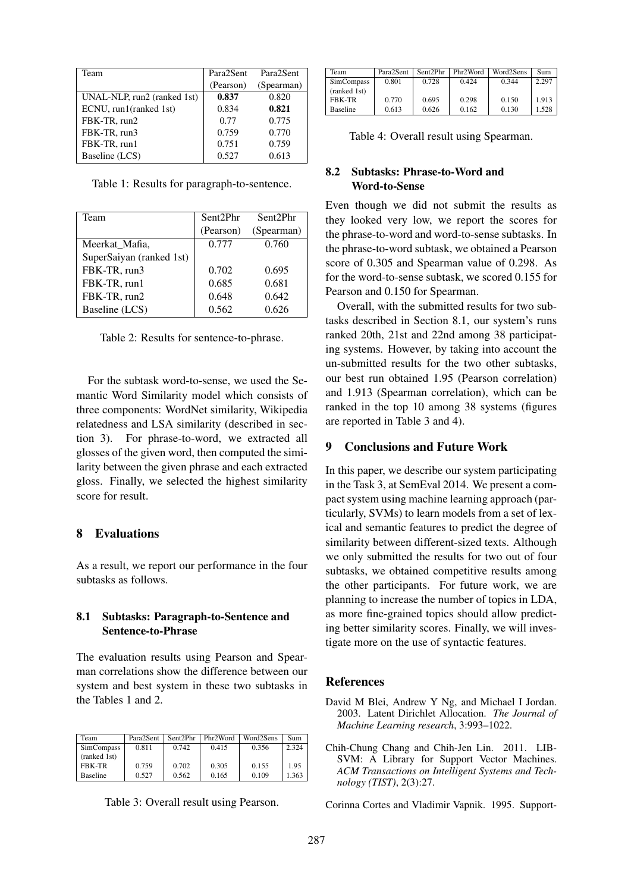| Team                        | Para2Sent | Para2Sent  |
|-----------------------------|-----------|------------|
|                             | (Pearson) | (Spearman) |
| UNAL-NLP, run2 (ranked 1st) | 0.837     | 0.820      |
| ECNU, run1(ranked 1st)      | 0.834     | 0.821      |
| FBK-TR, run2                | 0.77      | 0.775      |
| FBK-TR, run3                | 0.759     | 0.770      |
| FBK-TR, run1                | 0.751     | 0.759      |
| Baseline (LCS)              | 0.527     | 0.613      |

Table 1: Results for paragraph-to-sentence.

| Team                     | Sent2Phr  | Sent2Phr   |
|--------------------------|-----------|------------|
|                          |           |            |
|                          | (Pearson) | (Spearman) |
| Meerkat_Mafia,           | 0.777     | 0.760      |
| SuperSaiyan (ranked 1st) |           |            |
| FBK-TR, run3             | 0.702     | 0.695      |
| FBK-TR, run1             | 0.685     | 0.681      |
| FBK-TR, run2             | 0.648     | 0.642      |
| Baseline (LCS)           | 0.562     | 0.626      |

Table 2: Results for sentence-to-phrase.

For the subtask word-to-sense, we used the Semantic Word Similarity model which consists of three components: WordNet similarity, Wikipedia relatedness and LSA similarity (described in section 3). For phrase-to-word, we extracted all glosses of the given word, then computed the similarity between the given phrase and each extracted gloss. Finally, we selected the highest similarity score for result.

### 8 Evaluations

As a result, we report our performance in the four subtasks as follows.

### 8.1 Subtasks: Paragraph-to-Sentence and Sentence-to-Phrase

The evaluation results using Pearson and Spearman correlations show the difference between our system and best system in these two subtasks in the Tables 1 and 2.

| Team              | Para2Sent | Sent2Phr | Phr <sub>2</sub> Word | Word2Sens | Sum   |
|-------------------|-----------|----------|-----------------------|-----------|-------|
| <b>SimCompass</b> | 0.811     | 0.742    | 0.415                 | 0.356     | 2.324 |
| (ranked 1st)      |           |          |                       |           |       |
| <b>FRK-TR</b>     | 0.759     | 0.702    | 0.305                 | 0.155     | 1.95  |
| <b>Baseline</b>   | 0.527     | 0.562    | 0.165                 | 0.109     | .363  |

Table 3: Overall result using Pearson.

| Team              | Para2Sent | Sent2Phr | Phr2Word | Word2Sens | Sum   |
|-------------------|-----------|----------|----------|-----------|-------|
| <b>SimCompass</b> | 0.801     | 0.728    | 0.424    | 0.344     | 2.297 |
| (ranked 1st)      |           |          |          |           |       |
| <b>FBK-TR</b>     | 0.770     | 0.695    | 0.298    | 0.150     | 1.913 |
| <b>Baseline</b>   | 0.613     | 0.626    | 0.162    | 0.130     | 1.528 |

Table 4: Overall result using Spearman.

### 8.2 Subtasks: Phrase-to-Word and Word-to-Sense

Even though we did not submit the results as they looked very low, we report the scores for the phrase-to-word and word-to-sense subtasks. In the phrase-to-word subtask, we obtained a Pearson score of 0.305 and Spearman value of 0.298. As for the word-to-sense subtask, we scored 0.155 for Pearson and 0.150 for Spearman.

Overall, with the submitted results for two subtasks described in Section 8.1, our system's runs ranked 20th, 21st and 22nd among 38 participating systems. However, by taking into account the un-submitted results for the two other subtasks, our best run obtained 1.95 (Pearson correlation) and 1.913 (Spearman correlation), which can be ranked in the top 10 among 38 systems (figures are reported in Table 3 and 4).

### 9 Conclusions and Future Work

In this paper, we describe our system participating in the Task 3, at SemEval 2014. We present a compact system using machine learning approach (particularly, SVMs) to learn models from a set of lexical and semantic features to predict the degree of similarity between different-sized texts. Although we only submitted the results for two out of four subtasks, we obtained competitive results among the other participants. For future work, we are planning to increase the number of topics in LDA, as more fine-grained topics should allow predicting better similarity scores. Finally, we will investigate more on the use of syntactic features.

#### References

- David M Blei, Andrew Y Ng, and Michael I Jordan. 2003. Latent Dirichlet Allocation. *The Journal of Machine Learning research*, 3:993–1022.
- Chih-Chung Chang and Chih-Jen Lin. 2011. LIB-SVM: A Library for Support Vector Machines. *ACM Transactions on Intelligent Systems and Technology (TIST)*, 2(3):27.

Corinna Cortes and Vladimir Vapnik. 1995. Support-